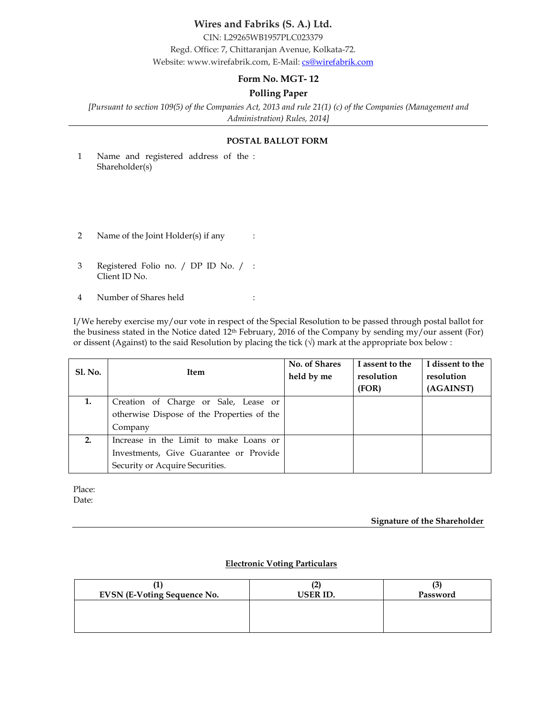# Wires and Fabriks (S. A.) Ltd.

CIN: L29265WB1957PLC023379 Regd. Office: 7, Chittaranjan Avenue, Kolkata-72. Website: www.wirefabrik.com, E-Mail: cs@wirefabrik.com

### Form No. MGT- 12

# Polling Paper

[Pursuant to section 109(5) of the Companies Act, 2013 and rule 21(1) (c) of the Companies (Management and Administration) Rules, 2014]

#### POSTAL BALLOT FORM

- 1 Name and registered address of the : Shareholder(s)
- 2 Name of the Joint Holder(s) if any :
- 3 Registered Folio no. / DP ID No. / : Client ID No.
- 4 Number of Shares held :

I/We hereby exercise my/our vote in respect of the Special Resolution to be passed through postal ballot for the business stated in the Notice dated 12th February, 2016 of the Company by sending my/our assent (For) or dissent (Against) to the said Resolution by placing the tick  $(\sqrt{})$  mark at the appropriate box below :

| <b>Sl. No.</b> | <b>Item</b>                                | No. of Shares<br>held by me | I assent to the<br>resolution<br>(FOR) | I dissent to the<br>resolution<br>(AGAINST) |
|----------------|--------------------------------------------|-----------------------------|----------------------------------------|---------------------------------------------|
|                |                                            |                             |                                        |                                             |
|                | Creation of Charge or Sale, Lease or       |                             |                                        |                                             |
|                | otherwise Dispose of the Properties of the |                             |                                        |                                             |
|                | Company                                    |                             |                                        |                                             |
| 2.             | Increase in the Limit to make Loans or     |                             |                                        |                                             |
|                | Investments, Give Guarantee or Provide     |                             |                                        |                                             |
|                | Security or Acquire Securities.            |                             |                                        |                                             |

Place: Date:

#### Signature of the Shareholder

### Electronic Voting Particulars

| <b>EVSN (E-Voting Sequence No.</b> | USER ID. | Password |
|------------------------------------|----------|----------|
|                                    |          |          |